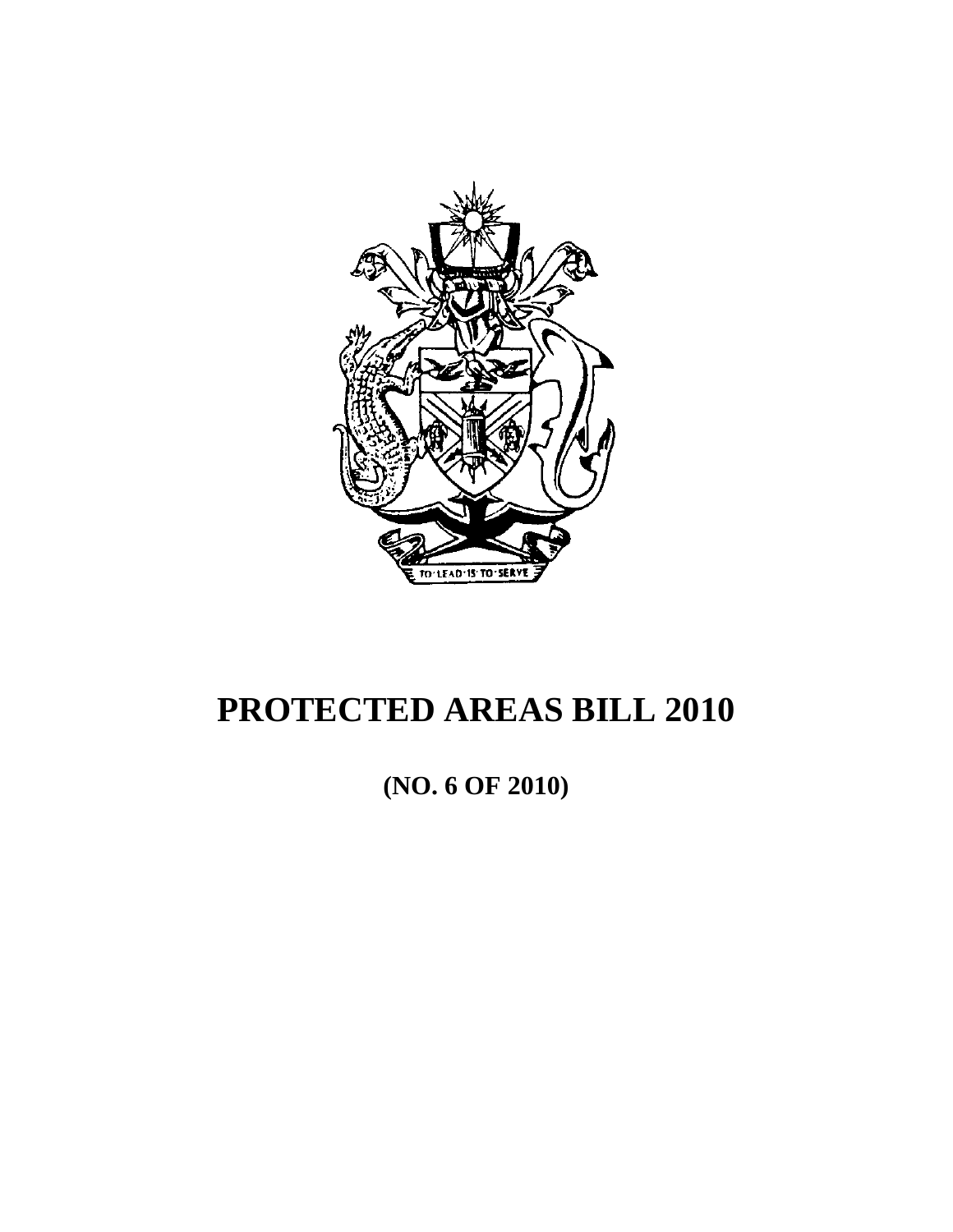

# **PROTECTED AREAS BILL 2010**

**(NO. 6 OF 2010)**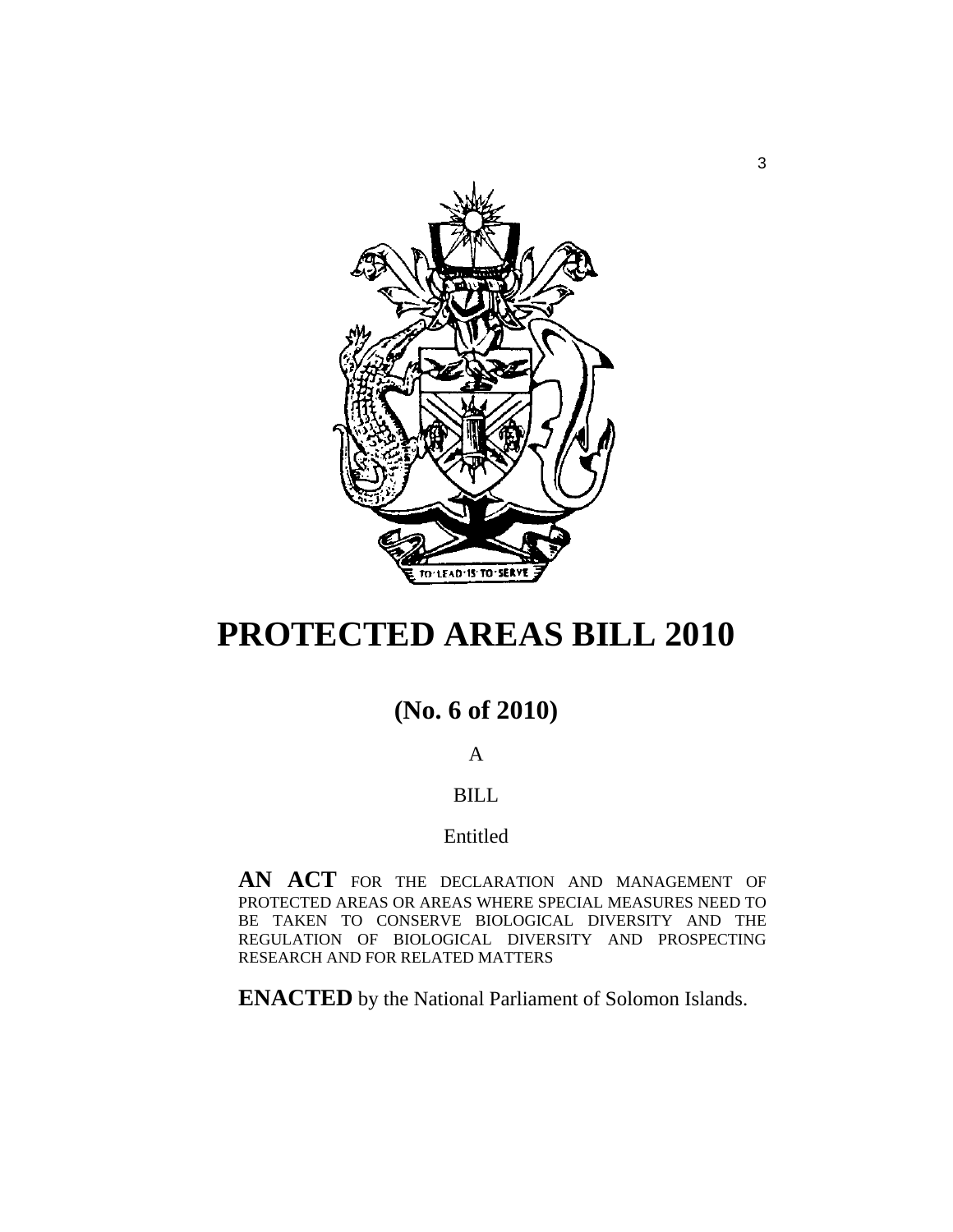

# **PROTECTED AREAS BILL 2010**

# **(No. 6 of 2010)**

# A

# BILL

# Entitled

**AN ACT** FOR THE DECLARATION AND MANAGEMENT OF PROTECTED AREAS OR AREAS WHERE SPECIAL MEASURES NEED TO BE TAKEN TO CONSERVE BIOLOGICAL DIVERSITY AND THE REGULATION OF BIOLOGICAL DIVERSITY AND PROSPECTING RESEARCH AND FOR RELATED MATTERS

**ENACTED** by the National Parliament of Solomon Islands.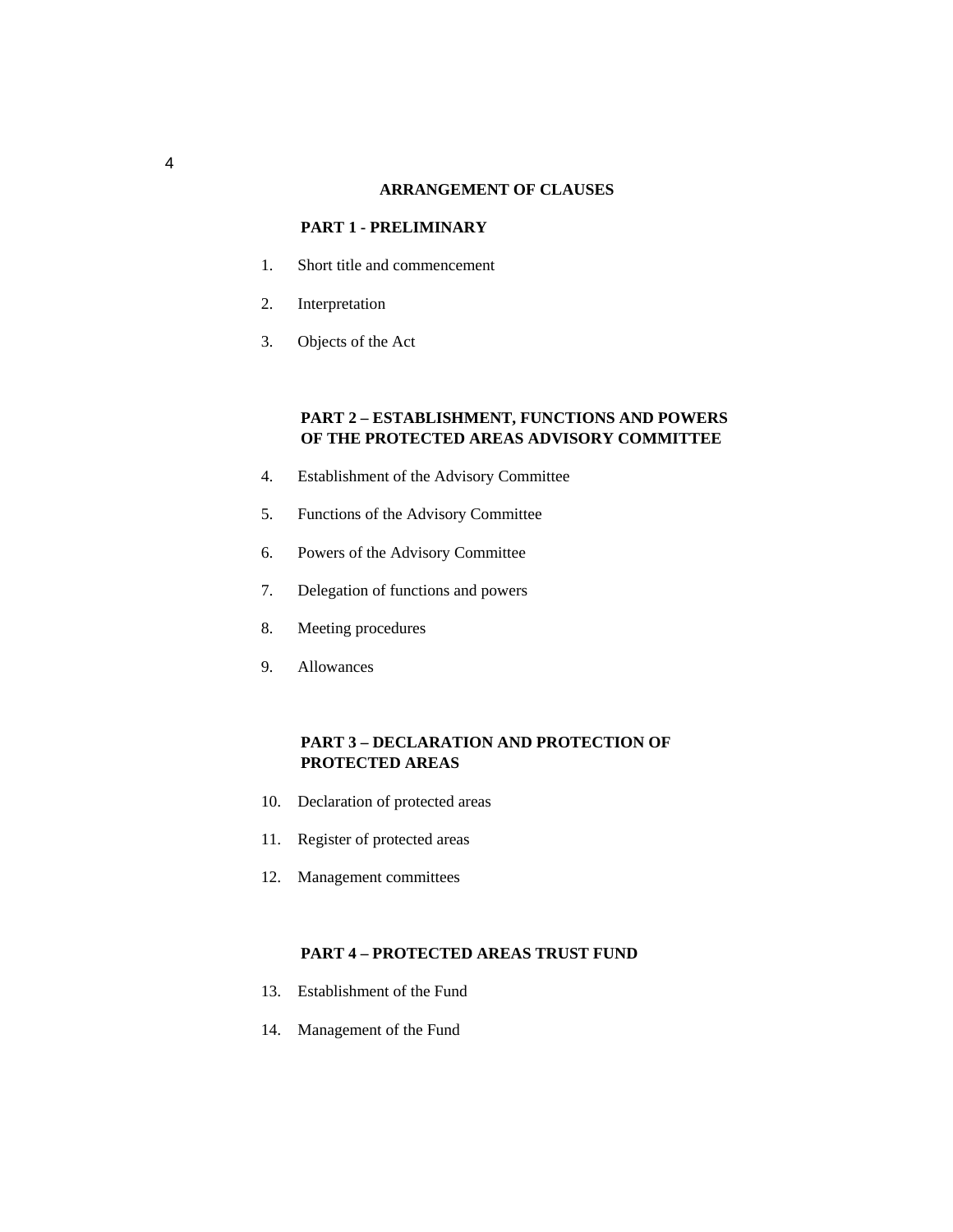#### **ARRANGEMENT OF CLAUSES**

#### **PART 1 - PRELIMINARY**

- 1. Short title and commencement
- 2. Interpretation
- 3. Objects of the Act

#### **PART 2 – ESTABLISHMENT, FUNCTIONS AND POWERS OF THE PROTECTED AREAS ADVISORY COMMITTEE**

- 4. Establishment of the Advisory Committee
- 5. Functions of the Advisory Committee
- 6. Powers of the Advisory Committee
- 7. Delegation of functions and powers
- 8. Meeting procedures
- 9. Allowances

#### **PART 3 – DECLARATION AND PROTECTION OF PROTECTED AREAS**

- 10. Declaration of protected areas
- 11. Register of protected areas
- 12. Management committees

#### **PART 4 – PROTECTED AREAS TRUST FUND**

- 13. Establishment of the Fund
- 14. Management of the Fund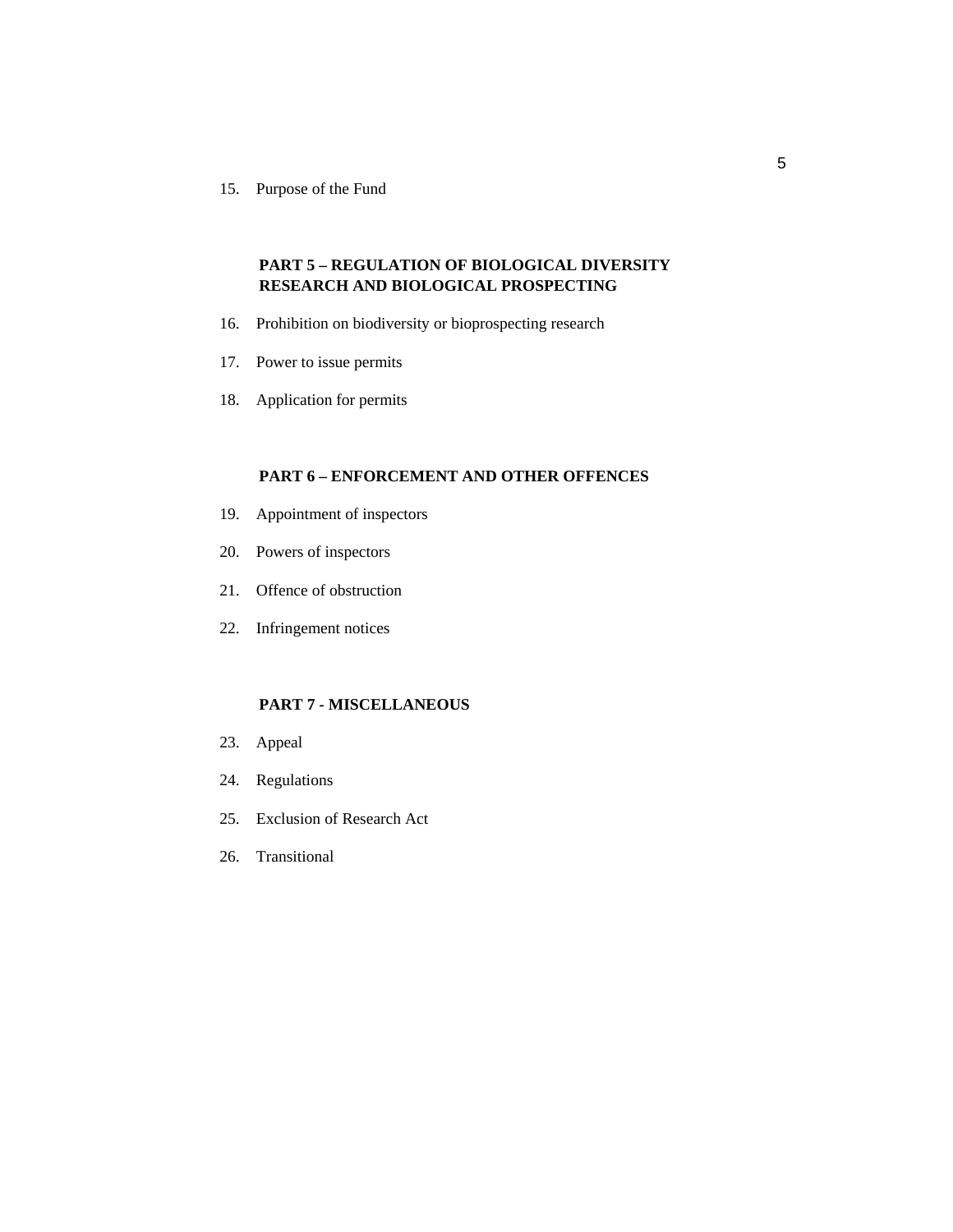15. Purpose of the Fund

### **PART 5 – REGULATION OF BIOLOGICAL DIVERSITY RESEARCH AND BIOLOGICAL PROSPECTING**

- 16. Prohibition on biodiversity or bioprospecting research
- 17. Power to issue permits
- 18. Application for permits

#### **PART 6 – ENFORCEMENT AND OTHER OFFENCES**

- 19. Appointment of inspectors
- 20. Powers of inspectors
- 21. Offence of obstruction
- 22. Infringement notices

#### **PART 7 - MISCELLANEOUS**

- 23. Appeal
- 24. Regulations
- 25. Exclusion of Research Act
- 26. Transitional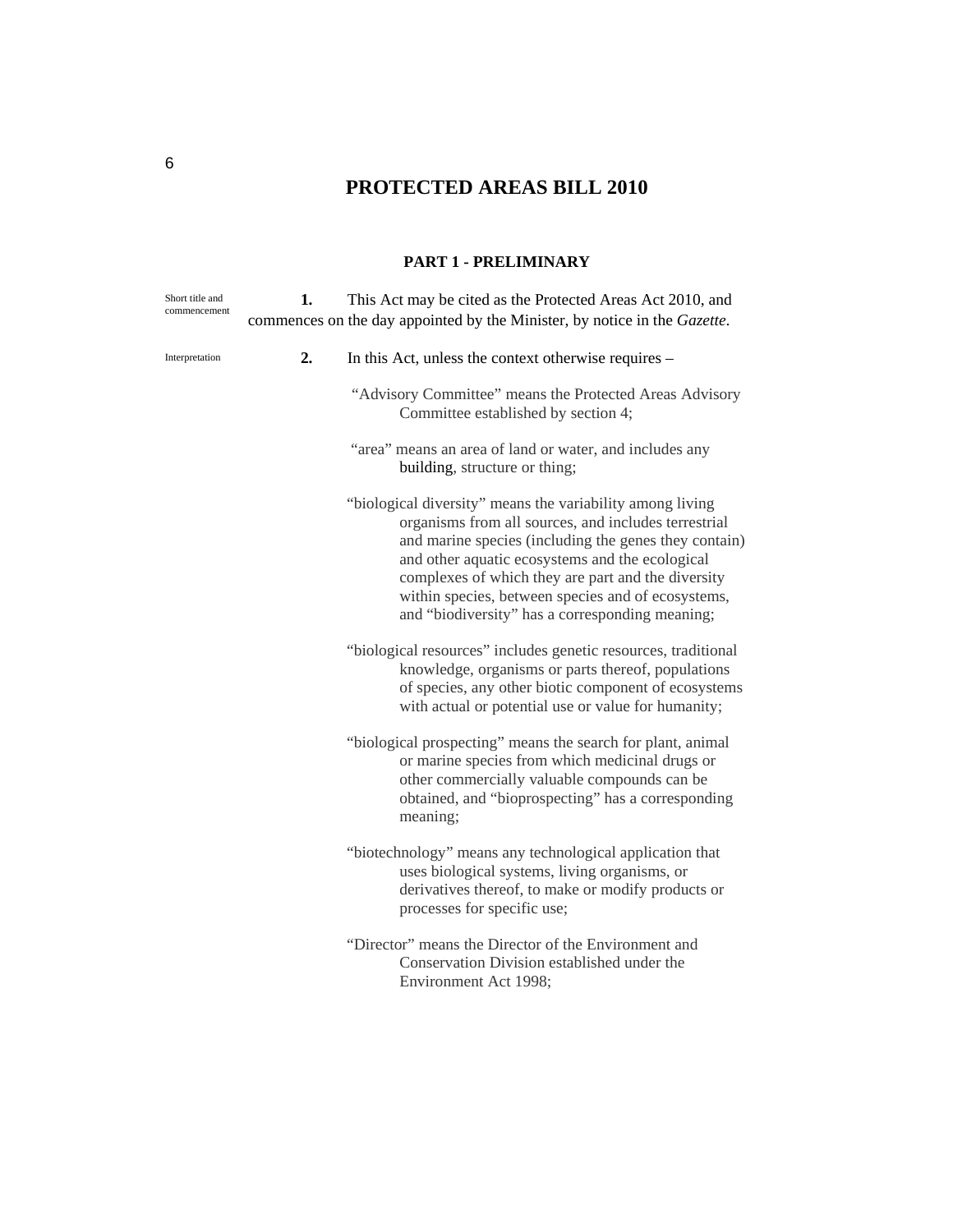# **PROTECTED AREAS BILL 2010**

#### **PART 1 - PRELIMINARY**

| Short title and<br>commencement | 1. | This Act may be cited as the Protected Areas Act 2010, and<br>commences on the day appointed by the Minister, by notice in the Gazette.                                                                                                                                                                                                                                                      |
|---------------------------------|----|----------------------------------------------------------------------------------------------------------------------------------------------------------------------------------------------------------------------------------------------------------------------------------------------------------------------------------------------------------------------------------------------|
| Interpretation                  | 2. | In this Act, unless the context otherwise requires –                                                                                                                                                                                                                                                                                                                                         |
|                                 |    | "Advisory Committee" means the Protected Areas Advisory<br>Committee established by section 4;                                                                                                                                                                                                                                                                                               |
|                                 |    | "area" means an area of land or water, and includes any<br>building, structure or thing;                                                                                                                                                                                                                                                                                                     |
|                                 |    | "biological diversity" means the variability among living<br>organisms from all sources, and includes terrestrial<br>and marine species (including the genes they contain)<br>and other aquatic ecosystems and the ecological<br>complexes of which they are part and the diversity<br>within species, between species and of ecosystems,<br>and "biodiversity" has a corresponding meaning; |
|                                 |    | "biological resources" includes genetic resources, traditional<br>knowledge, organisms or parts thereof, populations<br>of species, any other biotic component of ecosystems<br>with actual or potential use or value for humanity;                                                                                                                                                          |
|                                 |    | "biological prospecting" means the search for plant, animal<br>or marine species from which medicinal drugs or<br>other commercially valuable compounds can be<br>obtained, and "bioprospecting" has a corresponding<br>meaning;                                                                                                                                                             |
|                                 |    | "biotechnology" means any technological application that<br>uses biological systems, living organisms, or<br>derivatives thereof, to make or modify products or<br>processes for specific use;                                                                                                                                                                                               |
|                                 |    | "Director" means the Director of the Environment and<br>Conservation Division established under the<br>Environment Act 1998;                                                                                                                                                                                                                                                                 |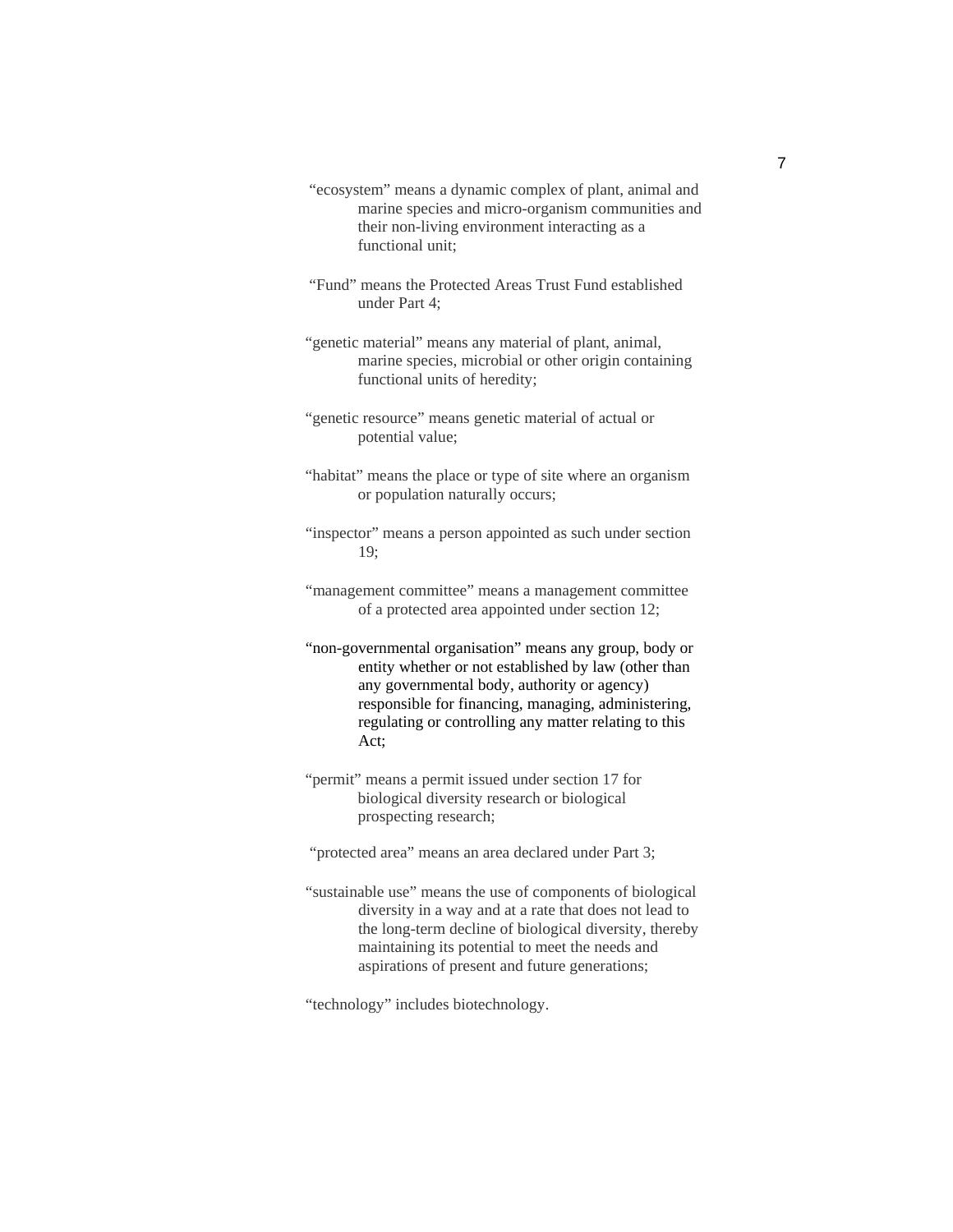- "ecosystem" means a dynamic complex of plant, animal and marine species and micro-organism communities and their non-living environment interacting as a functional unit;
- "Fund" means the Protected Areas Trust Fund established under Part 4;
- "genetic material" means any material of plant, animal, marine species, microbial or other origin containing functional units of heredity;
- "genetic resource" means genetic material of actual or potential value;
- "habitat" means the place or type of site where an organism or population naturally occurs;
- "inspector" means a person appointed as such under section 19;
- "management committee" means a management committee of a protected area appointed under section 12;
- "non-governmental organisation" means any group, body or entity whether or not established by law (other than any governmental body, authority or agency) responsible for financing, managing, administering, regulating or controlling any matter relating to this Act;
- "permit" means a permit issued under section 17 for biological diversity research or biological prospecting research;
- "protected area" means an area declared under Part 3;
- "sustainable use" means the use of components of biological diversity in a way and at a rate that does not lead to the long-term decline of biological diversity, thereby maintaining its potential to meet the needs and aspirations of present and future generations;

"technology" includes biotechnology.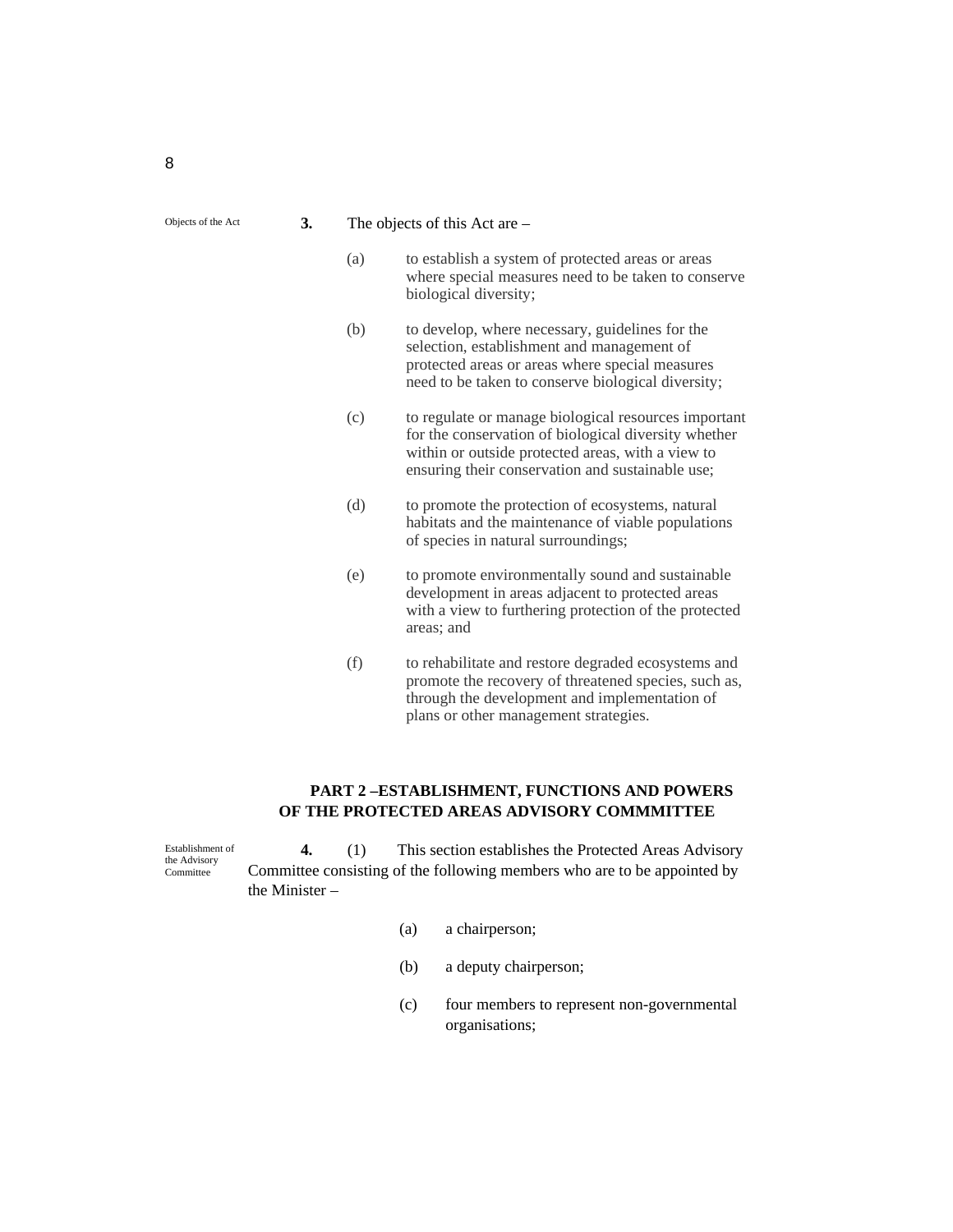| 3. |  | The objects of this Act are $-$ |
|----|--|---------------------------------|
|    |  |                                 |

- (a) to establish a system of protected areas or areas where special measures need to be taken to conserve biological diversity;
- (b) to develop, where necessary, guidelines for the selection, establishment and management of protected areas or areas where special measures need to be taken to conserve biological diversity;
- (c) to regulate or manage biological resources important for the conservation of biological diversity whether within or outside protected areas, with a view to ensuring their conservation and sustainable use;
- (d) to promote the protection of ecosystems, natural habitats and the maintenance of viable populations of species in natural surroundings;
- (e) to promote environmentally sound and sustainable development in areas adjacent to protected areas with a view to furthering protection of the protected areas; and
- (f) to rehabilitate and restore degraded ecosystems and promote the recovery of threatened species, such as, through the development and implementation of plans or other management strategies.

#### **PART 2 –ESTABLISHMENT, FUNCTIONS AND POWERS OF THE PROTECTED AREAS ADVISORY COMMMITTEE**

**4.** (1) This section establishes the Protected Areas Advisory Committee consisting of the following members who are to be appointed by the Minister – Establishment of the Advisory **Committee** 

- (a) a chairperson;
- (b) a deputy chairperson;
- (c) four members to represent non-governmental organisations;

Objects of the Act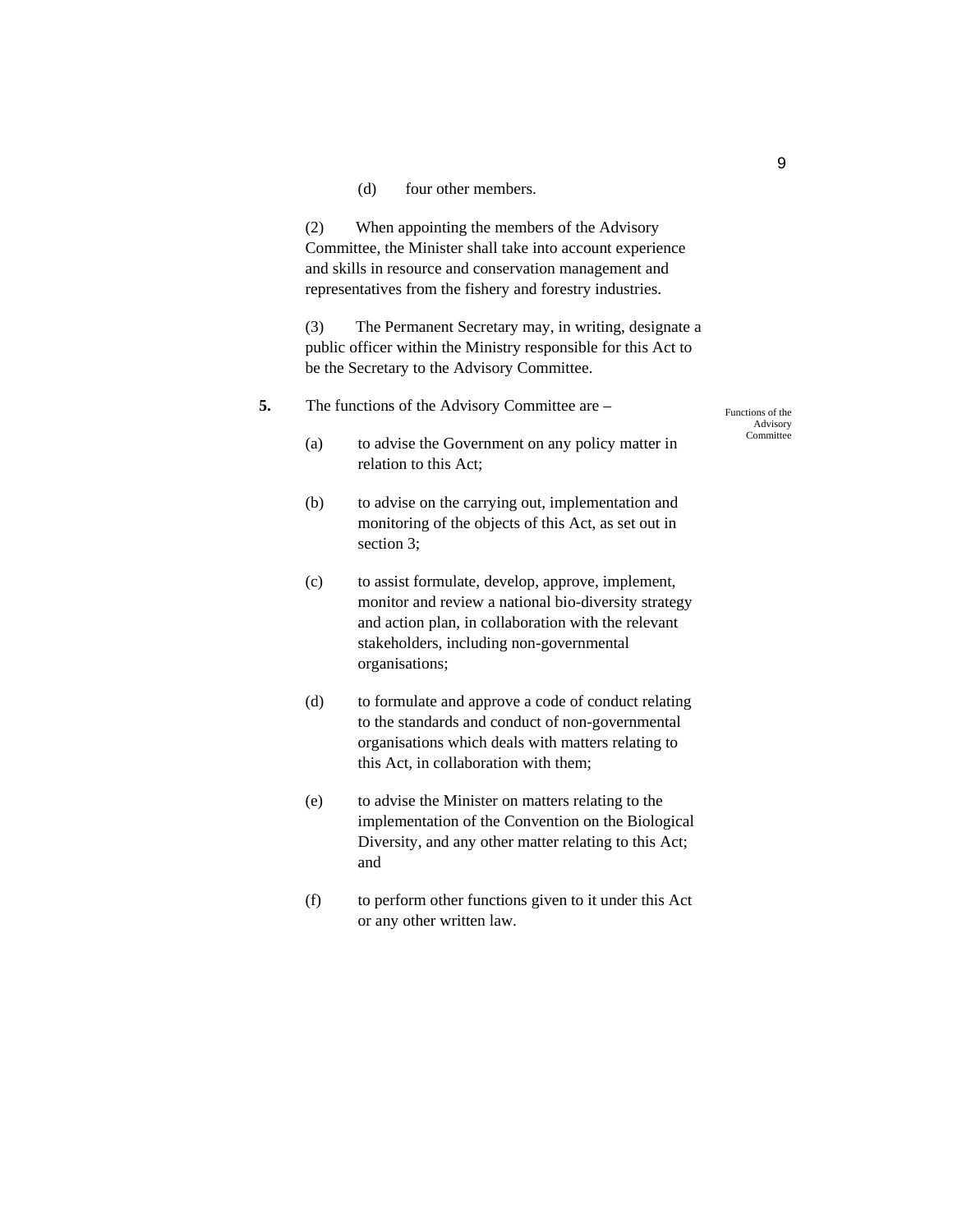(d) four other members.

(2) When appointing the members of the Advisory Committee, the Minister shall take into account experience and skills in resource and conservation management and representatives from the fishery and forestry industries.

(3) The Permanent Secretary may, in writing, designate a public officer within the Ministry responsible for this Act to be the Secretary to the Advisory Committee.

#### **5.** The functions of the Advisory Committee are –

Functions of the Advisory **Committee** 

- (a) to advise the Government on any policy matter in relation to this Act;
- (b) to advise on the carrying out, implementation and monitoring of the objects of this Act, as set out in section 3;
- (c) to assist formulate, develop, approve, implement, monitor and review a national bio-diversity strategy and action plan, in collaboration with the relevant stakeholders, including non-governmental organisations;
- (d) to formulate and approve a code of conduct relating to the standards and conduct of non-governmental organisations which deals with matters relating to this Act, in collaboration with them;
- (e) to advise the Minister on matters relating to the implementation of the Convention on the Biological Diversity, and any other matter relating to this Act; and
- (f) to perform other functions given to it under this Act or any other written law.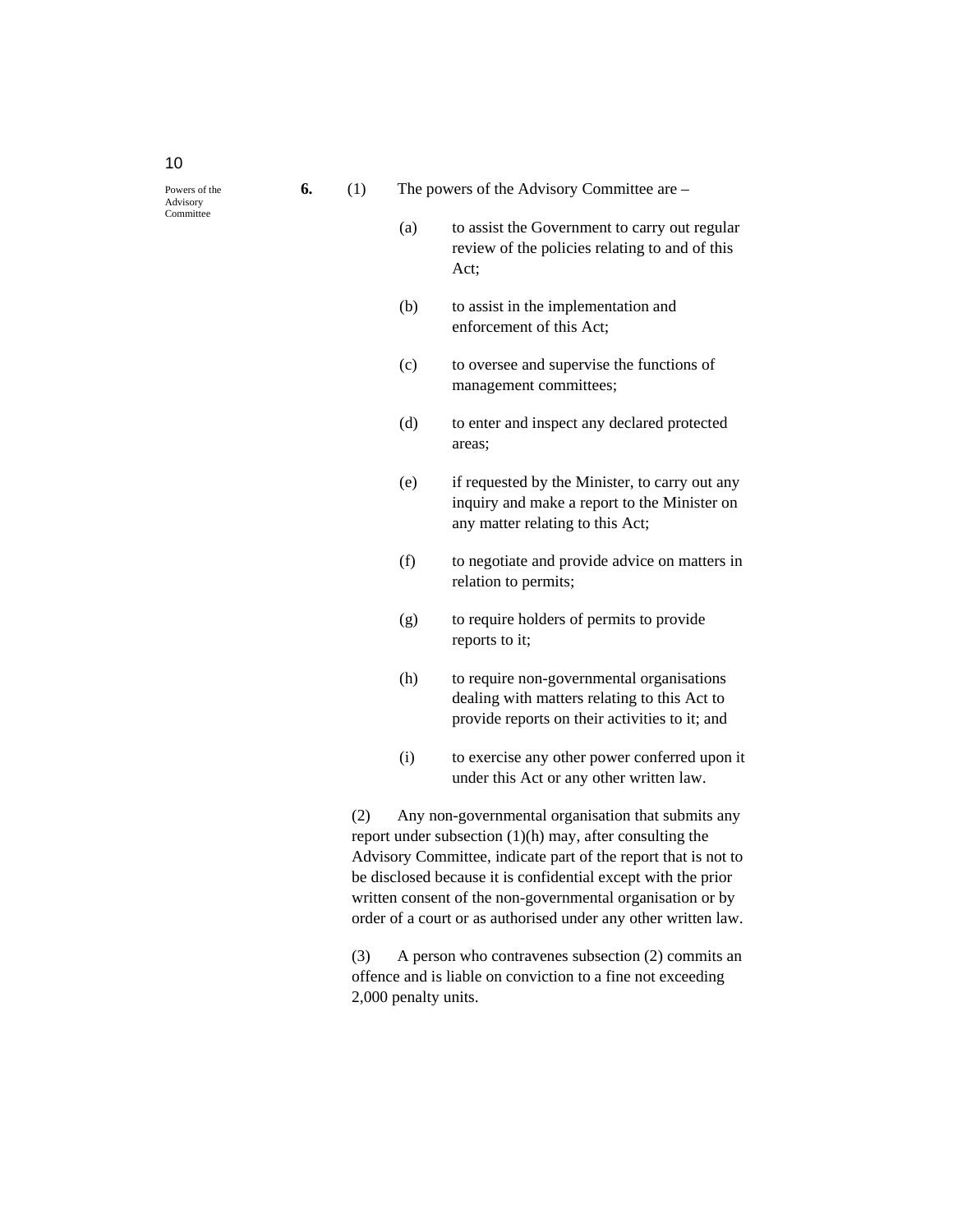10

- (a) to assist the Government to carry out regular review of the policies relating to and of this Act;
- (b) to assist in the implementation and enforcement of this Act;
- (c) to oversee and supervise the functions of management committees;
- (d) to enter and inspect any declared protected areas;
- (e) if requested by the Minister, to carry out any inquiry and make a report to the Minister on any matter relating to this Act;
- (f) to negotiate and provide advice on matters in relation to permits;
- (g) to require holders of permits to provide reports to it;
- (h) to require non-governmental organisations dealing with matters relating to this Act to provide reports on their activities to it; and
- (i) to exercise any other power conferred upon it under this Act or any other written law.

(2) Any non-governmental organisation that submits any report under subsection (1)(h) may, after consulting the Advisory Committee, indicate part of the report that is not to be disclosed because it is confidential except with the prior written consent of the non-governmental organisation or by order of a court or as authorised under any other written law.

(3) A person who contravenes subsection (2) commits an offence and is liable on conviction to a fine not exceeding 2,000 penalty units.

Powers of the Advisory **Committee**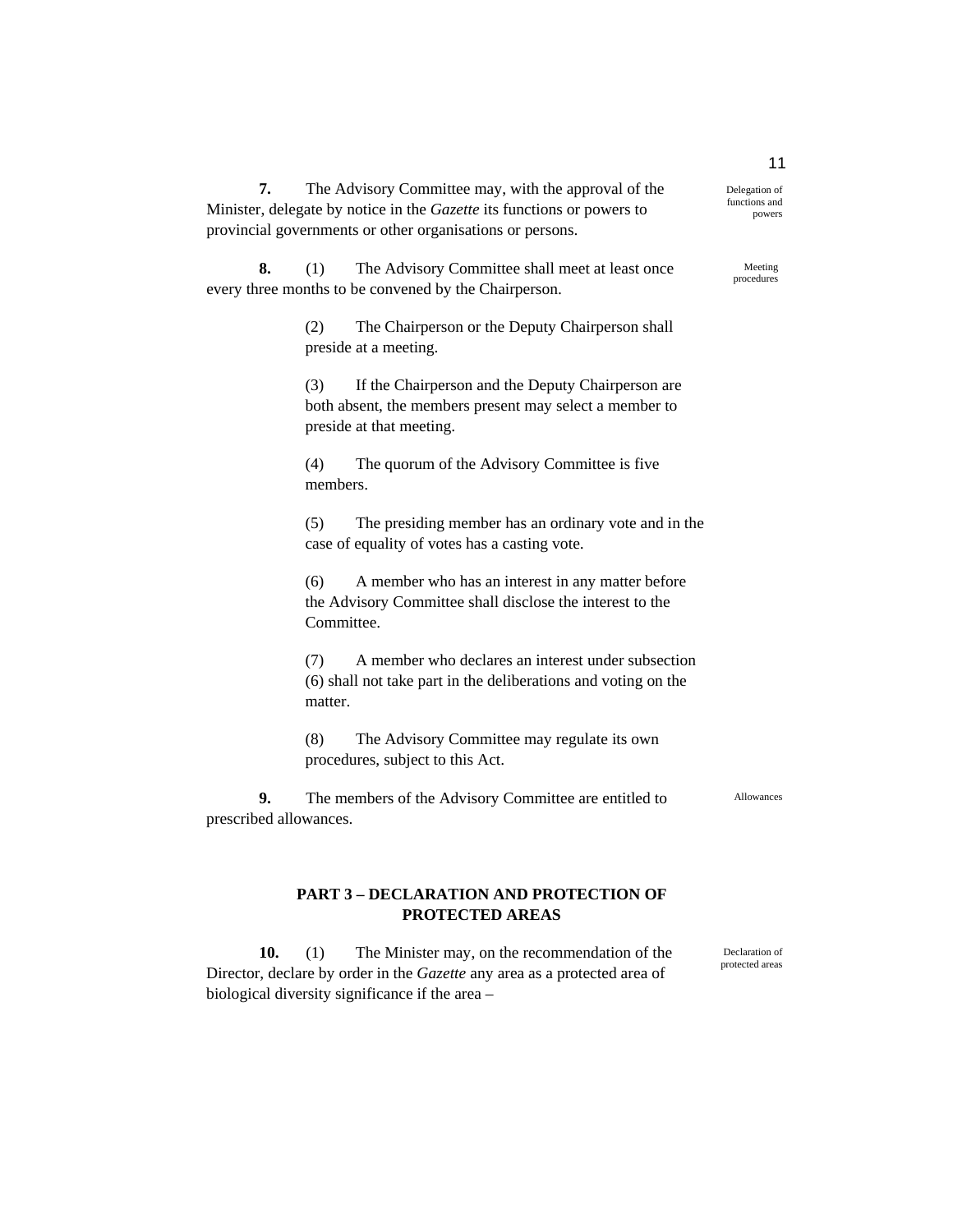**7.** The Advisory Committee may, with the approval of the Minister, delegate by notice in the *Gazette* its functions or powers to provincial governments or other organisations or persons.

**8.** (1) The Advisory Committee shall meet at least once every three months to be convened by the Chairperson.

> (2) The Chairperson or the Deputy Chairperson shall preside at a meeting.

(3) If the Chairperson and the Deputy Chairperson are both absent, the members present may select a member to preside at that meeting.

(4) The quorum of the Advisory Committee is five members.

(5) The presiding member has an ordinary vote and in the case of equality of votes has a casting vote.

(6) A member who has an interest in any matter before the Advisory Committee shall disclose the interest to the Committee.

(7) A member who declares an interest under subsection (6) shall not take part in the deliberations and voting on the matter.

(8) The Advisory Committee may regulate its own procedures, subject to this Act.

**9.** The members of the Advisory Committee are entitled to prescribed allowances.

#### Allowances

Declaration of protected areas

### **PART 3 – DECLARATION AND PROTECTION OF PROTECTED AREAS**

**10.** (1) The Minister may, on the recommendation of the Director, declare by order in the *Gazette* any area as a protected area of biological diversity significance if the area –

11 Delegation of

functions and powers

> Meeting procedures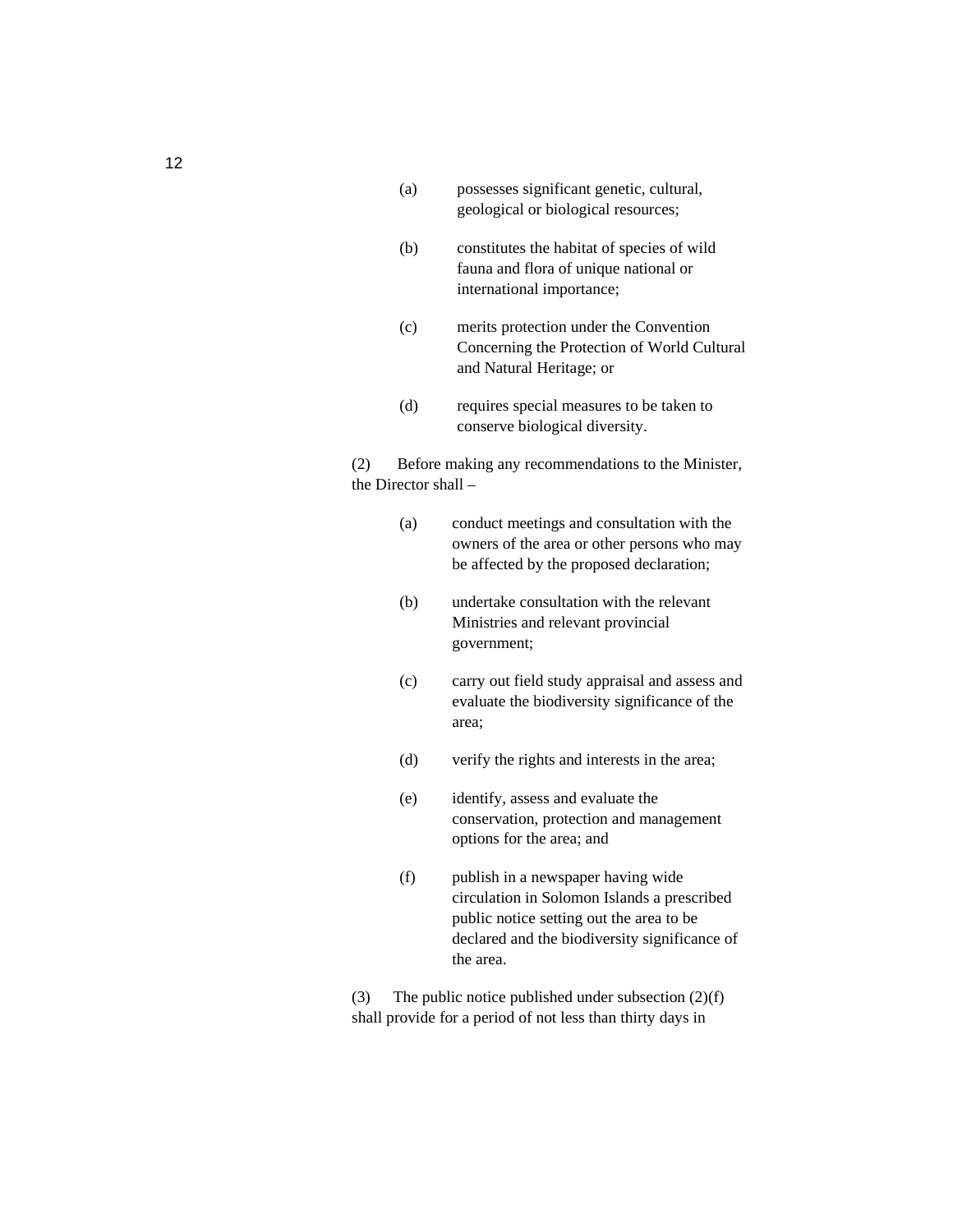- (a) possesses significant genetic, cultural, geological or biological resources;
- (b) constitutes the habitat of species of wild fauna and flora of unique national or international importance;
- (c) merits protection under the Convention Concerning the Protection of World Cultural and Natural Heritage; or
- (d) requires special measures to be taken to conserve biological diversity.
- (2) Before making any recommendations to the Minister, the Director shall –
	- (a) conduct meetings and consultation with the owners of the area or other persons who may be affected by the proposed declaration;
	- (b) undertake consultation with the relevant Ministries and relevant provincial government;
	- (c) carry out field study appraisal and assess and evaluate the biodiversity significance of the area;
	- (d) verify the rights and interests in the area;
	- (e) identify, assess and evaluate the conservation, protection and management options for the area; and
	- (f) publish in a newspaper having wide circulation in Solomon Islands a prescribed public notice setting out the area to be declared and the biodiversity significance of the area.

(3) The public notice published under subsection (2)(f) shall provide for a period of not less than thirty days in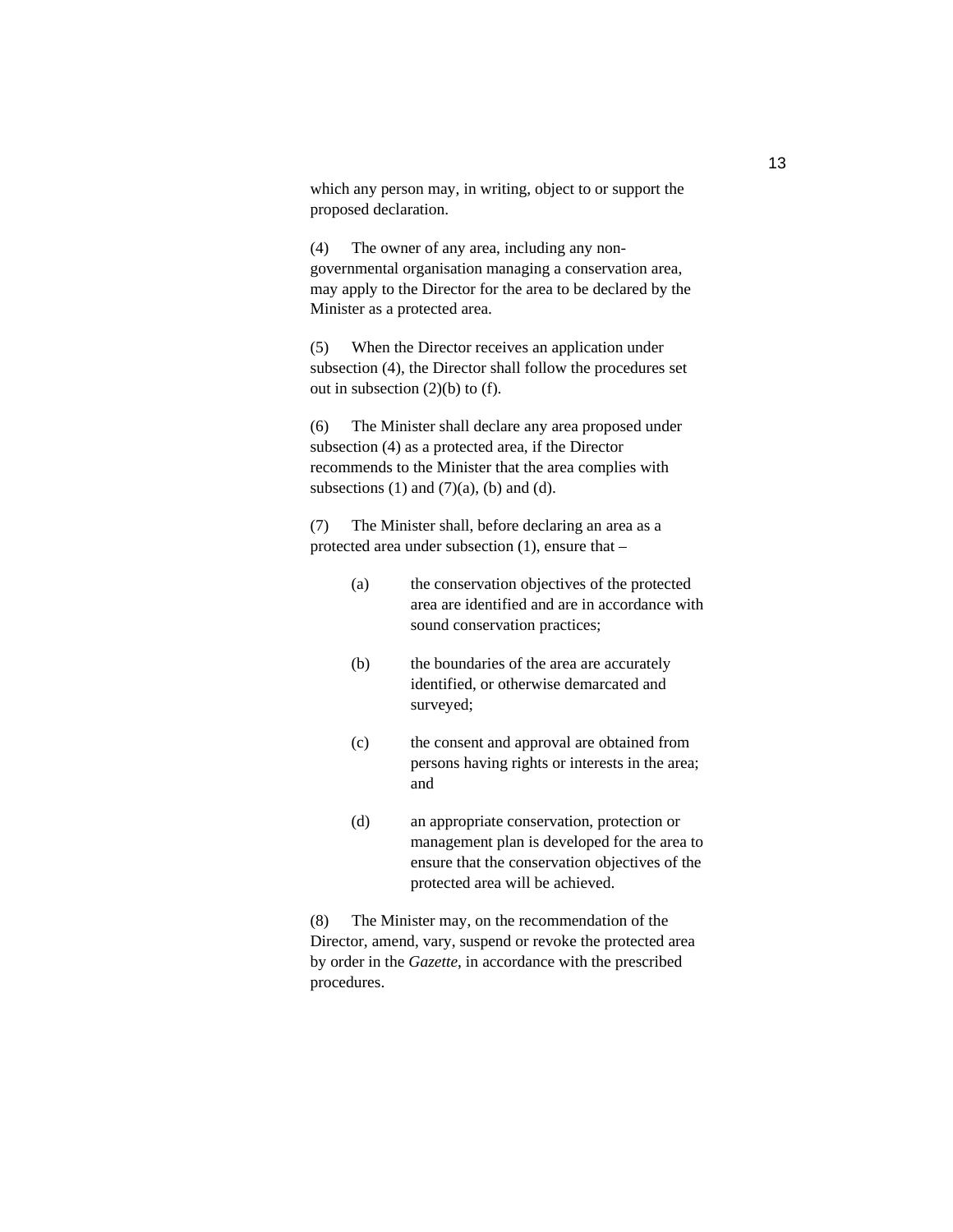which any person may, in writing, object to or support the proposed declaration.

(4) The owner of any area, including any nongovernmental organisation managing a conservation area, may apply to the Director for the area to be declared by the Minister as a protected area.

(5) When the Director receives an application under subsection (4), the Director shall follow the procedures set out in subsection (2)(b) to (f).

(6) The Minister shall declare any area proposed under subsection (4) as a protected area, if the Director recommends to the Minister that the area complies with subsections  $(1)$  and  $(7)(a)$ ,  $(b)$  and  $(d)$ .

(7) The Minister shall, before declaring an area as a protected area under subsection (1), ensure that –

- (a) the conservation objectives of the protected area are identified and are in accordance with sound conservation practices;
- (b) the boundaries of the area are accurately identified, or otherwise demarcated and surveyed;
- (c) the consent and approval are obtained from persons having rights or interests in the area; and
- (d) an appropriate conservation, protection or management plan is developed for the area to ensure that the conservation objectives of the protected area will be achieved.

(8) The Minister may, on the recommendation of the Director, amend, vary, suspend or revoke the protected area by order in the *Gazette*, in accordance with the prescribed procedures.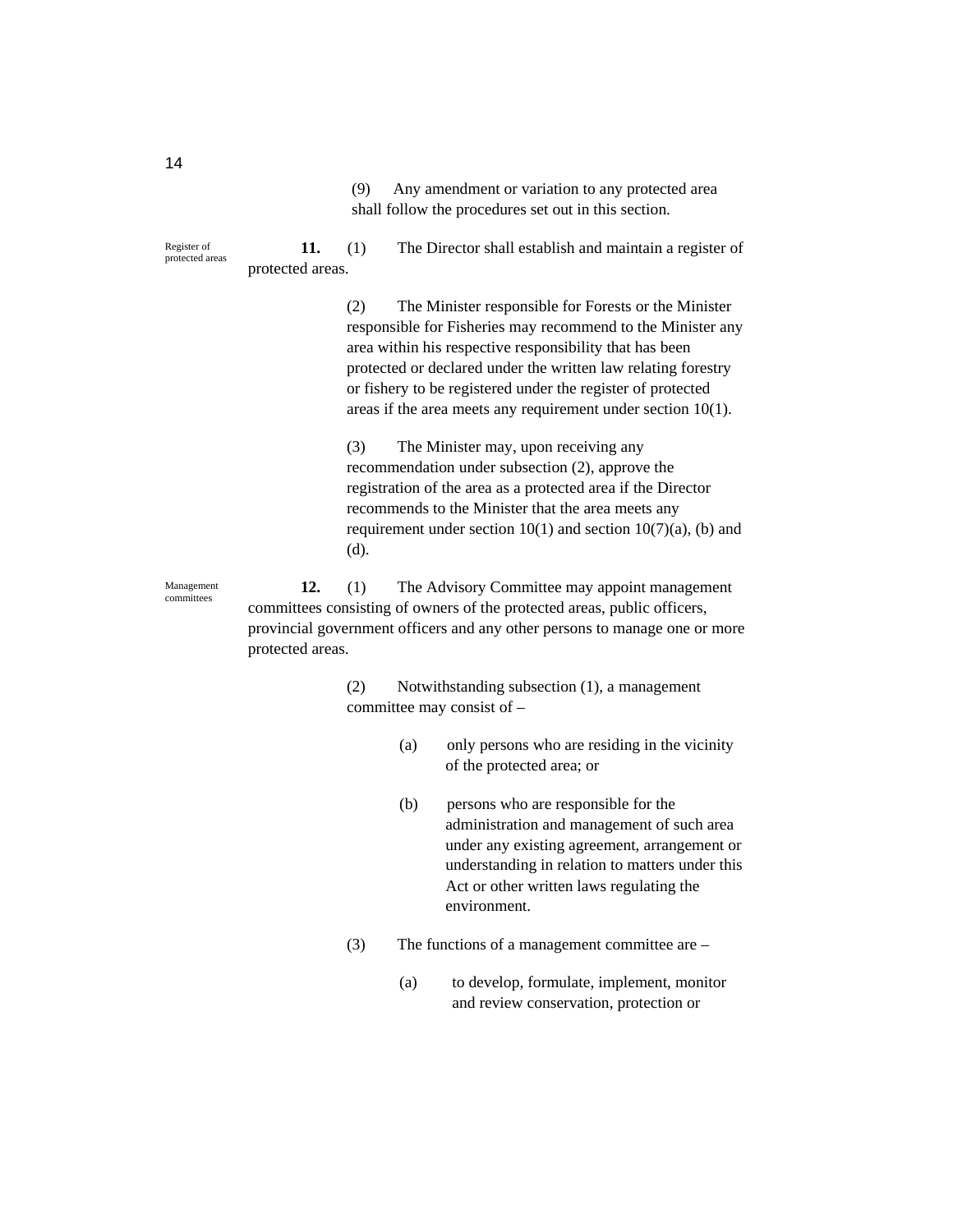(9) Any amendment or variation to any protected area shall follow the procedures set out in this section.

**11.** (1) The Director shall establish and maintain a register of protected areas. Register of protected areas

> (2) The Minister responsible for Forests or the Minister responsible for Fisheries may recommend to the Minister any area within his respective responsibility that has been protected or declared under the written law relating forestry or fishery to be registered under the register of protected areas if the area meets any requirement under section 10(1).

> (3) The Minister may, upon receiving any recommendation under subsection (2), approve the registration of the area as a protected area if the Director recommends to the Minister that the area meets any requirement under section  $10(1)$  and section  $10(7)(a)$ , (b) and (d).

**12.** (1) The Advisory Committee may appoint management committees consisting of owners of the protected areas, public officers, provincial government officers and any other persons to manage one or more protected areas.

> (2) Notwithstanding subsection (1), a management committee may consist of –

- (a) only persons who are residing in the vicinity of the protected area; or
- (b) persons who are responsible for the administration and management of such area under any existing agreement, arrangement or understanding in relation to matters under this Act or other written laws regulating the environment.
- (3) The functions of a management committee are
	- (a) to develop, formulate, implement, monitor and review conservation, protection or

Management committees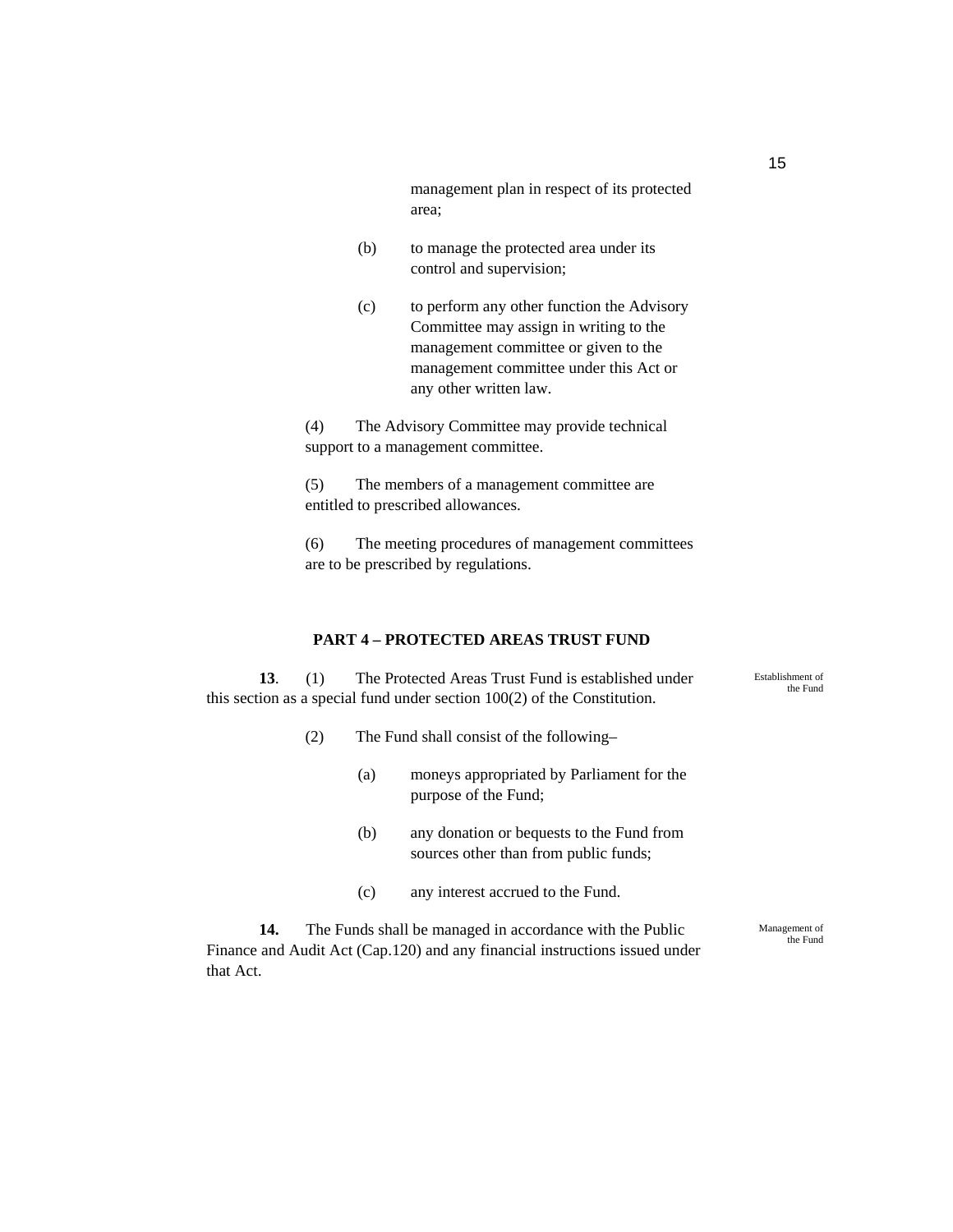management plan in respect of its protected area;

- (b) to manage the protected area under its control and supervision;
- (c) to perform any other function the Advisory Committee may assign in writing to the management committee or given to the management committee under this Act or any other written law.

(4) The Advisory Committee may provide technical support to a management committee.

(5) The members of a management committee are entitled to prescribed allowances.

(6) The meeting procedures of management committees are to be prescribed by regulations.

#### **PART 4 – PROTECTED AREAS TRUST FUND**

**13**. (1) The Protected Areas Trust Fund is established under this section as a special fund under section 100(2) of the Constitution.

- (2) The Fund shall consist of the following–
	- (a) moneys appropriated by Parliament for the purpose of the Fund;
	- (b) any donation or bequests to the Fund from sources other than from public funds;
	- (c) any interest accrued to the Fund.

**14.** The Funds shall be managed in accordance with the Public Finance and Audit Act (Cap.120) and any financial instructions issued under that Act.

Management of

the Fund

Establishment of the Fund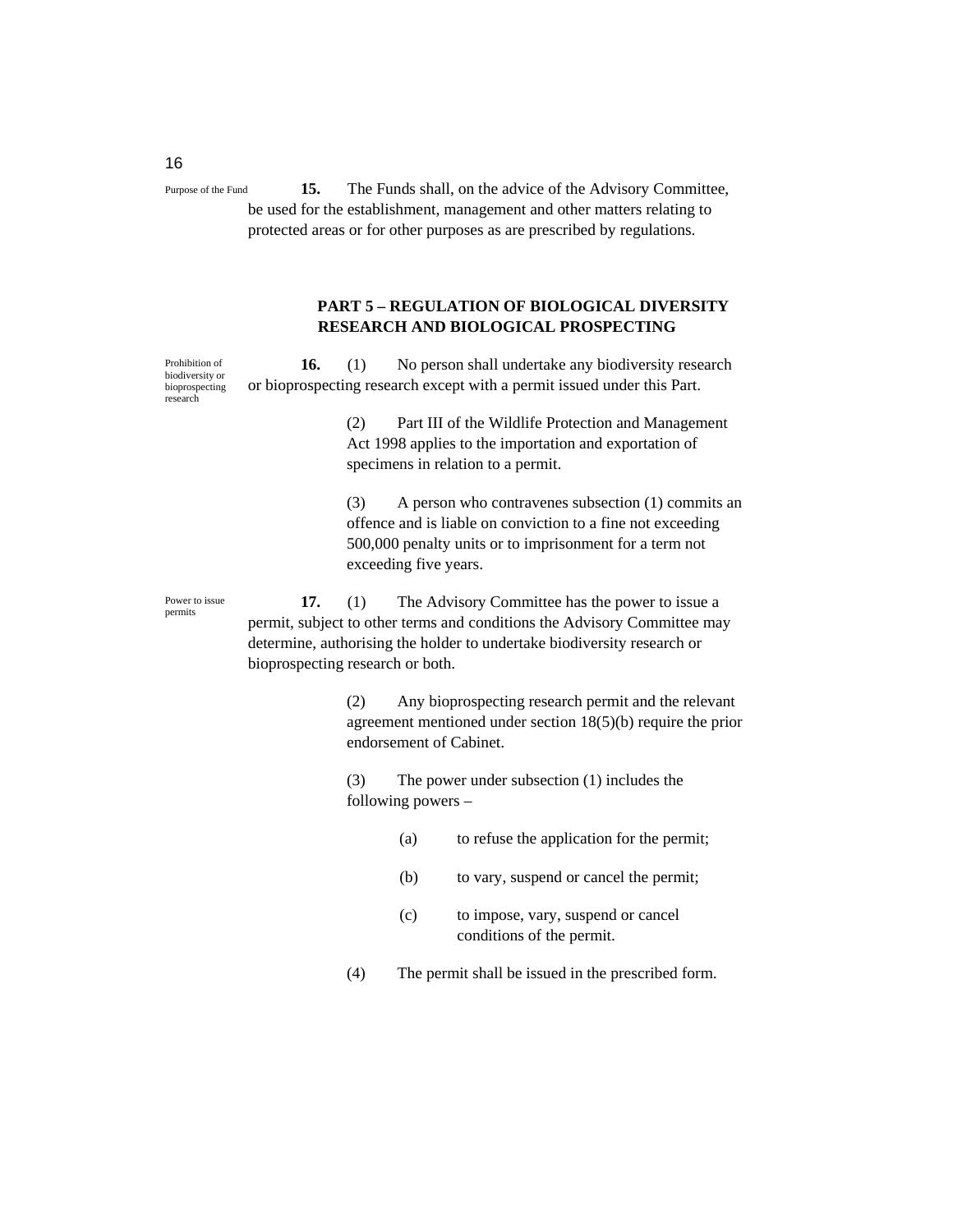**15.** The Funds shall, on the advice of the Advisory Committee, be used for the establishment, management and other matters relating to protected areas or for other purposes as are prescribed by regulations. Purpose of the Fund

#### **PART 5 – REGULATION OF BIOLOGICAL DIVERSITY RESEARCH AND BIOLOGICAL PROSPECTING**

**16.** (1) No person shall undertake any biodiversity research or bioprospecting research except with a permit issued under this Part. Prohibition of biodiversity or bioprospecting research

> (2) Part III of the Wildlife Protection and Management Act 1998 applies to the importation and exportation of specimens in relation to a permit.

(3) A person who contravenes subsection (1) commits an offence and is liable on conviction to a fine not exceeding 500,000 penalty units or to imprisonment for a term not exceeding five years.

Power to issue permits

**17.** (1) The Advisory Committee has the power to issue a permit, subject to other terms and conditions the Advisory Committee may determine, authorising the holder to undertake biodiversity research or bioprospecting research or both.

> (2) Any bioprospecting research permit and the relevant agreement mentioned under section 18(5)(b) require the prior endorsement of Cabinet.

(3) The power under subsection (1) includes the following powers –

- (a) to refuse the application for the permit;
- (b) to vary, suspend or cancel the permit;
- (c) to impose, vary, suspend or cancel conditions of the permit.
- (4) The permit shall be issued in the prescribed form.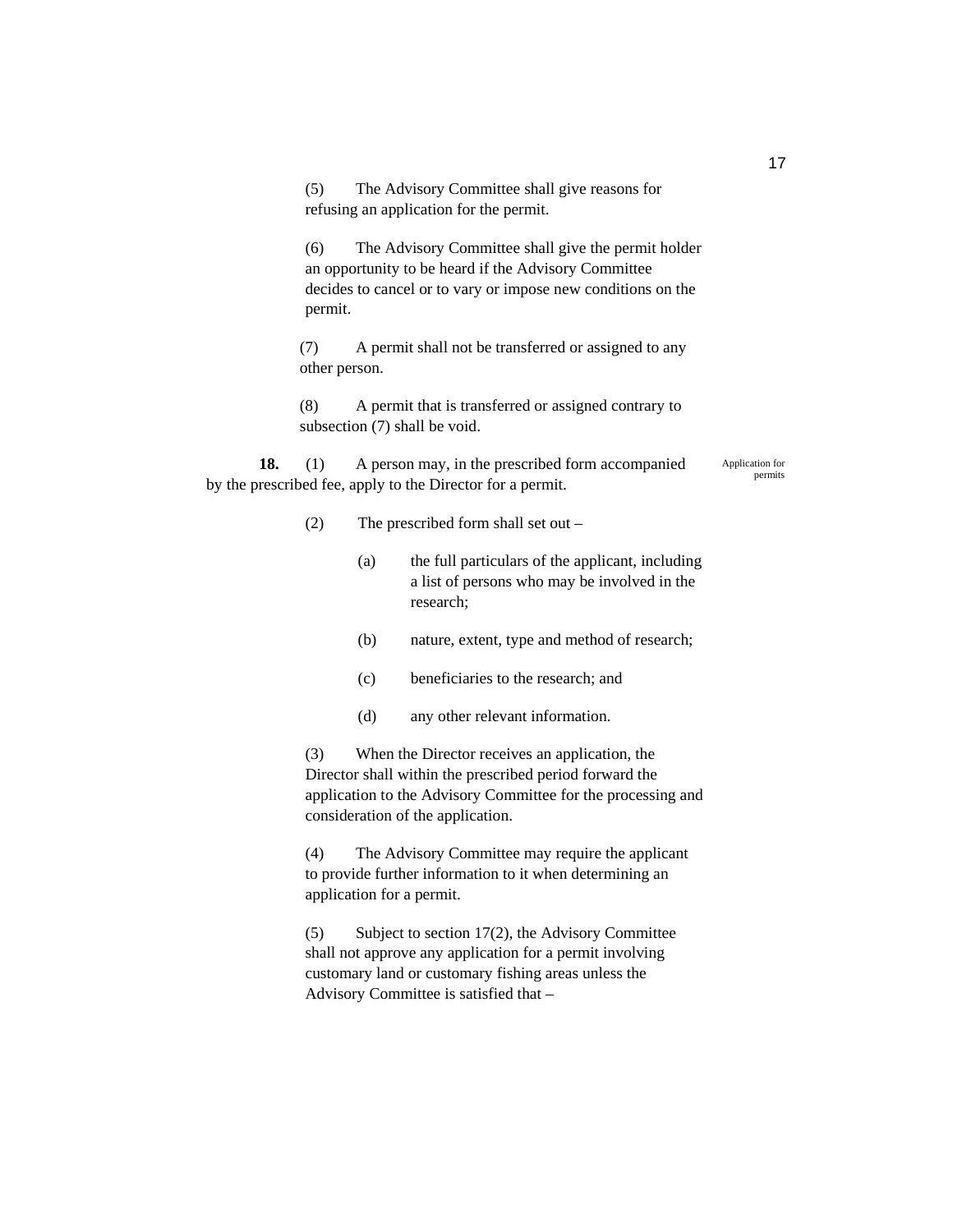(5) The Advisory Committee shall give reasons for refusing an application for the permit.

(6) The Advisory Committee shall give the permit holder an opportunity to be heard if the Advisory Committee decides to cancel or to vary or impose new conditions on the permit.

(7) A permit shall not be transferred or assigned to any other person.

(8) A permit that is transferred or assigned contrary to subsection (7) shall be void.

**18.** (1) A person may, in the prescribed form accompanied by the prescribed fee, apply to the Director for a permit.

Application for permits

- (2) The prescribed form shall set out
	- (a) the full particulars of the applicant, including a list of persons who may be involved in the research;
	- (b) nature, extent, type and method of research;
	- (c) beneficiaries to the research; and
	- (d) any other relevant information.

(3) When the Director receives an application, the Director shall within the prescribed period forward the application to the Advisory Committee for the processing and consideration of the application.

(4) The Advisory Committee may require the applicant to provide further information to it when determining an application for a permit.

(5) Subject to section 17(2), the Advisory Committee shall not approve any application for a permit involving customary land or customary fishing areas unless the Advisory Committee is satisfied that –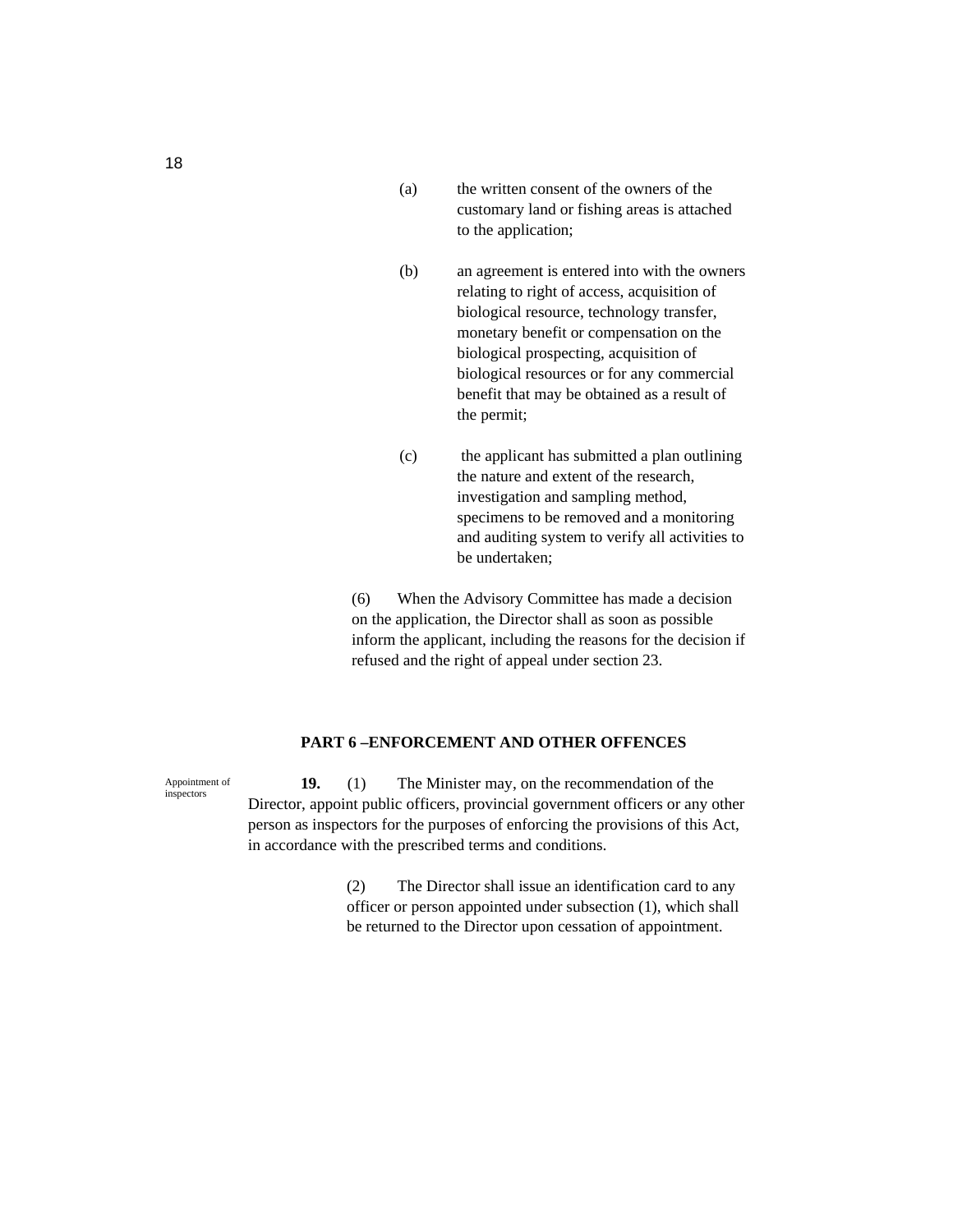- (a) the written consent of the owners of the customary land or fishing areas is attached to the application;
- (b) an agreement is entered into with the owners relating to right of access, acquisition of biological resource, technology transfer, monetary benefit or compensation on the biological prospecting, acquisition of biological resources or for any commercial benefit that may be obtained as a result of the permit;
- (c) the applicant has submitted a plan outlining the nature and extent of the research, investigation and sampling method, specimens to be removed and a monitoring and auditing system to verify all activities to be undertaken;

(6) When the Advisory Committee has made a decision on the application, the Director shall as soon as possible inform the applicant, including the reasons for the decision if refused and the right of appeal under section 23.

#### **PART 6 –ENFORCEMENT AND OTHER OFFENCES**

**19.** (1) The Minister may, on the recommendation of the Director, appoint public officers, provincial government officers or any other person as inspectors for the purposes of enforcing the provisions of this Act, in accordance with the prescribed terms and conditions.

> (2) The Director shall issue an identification card to any officer or person appointed under subsection (1), which shall be returned to the Director upon cessation of appointment.

Appointment of inspectors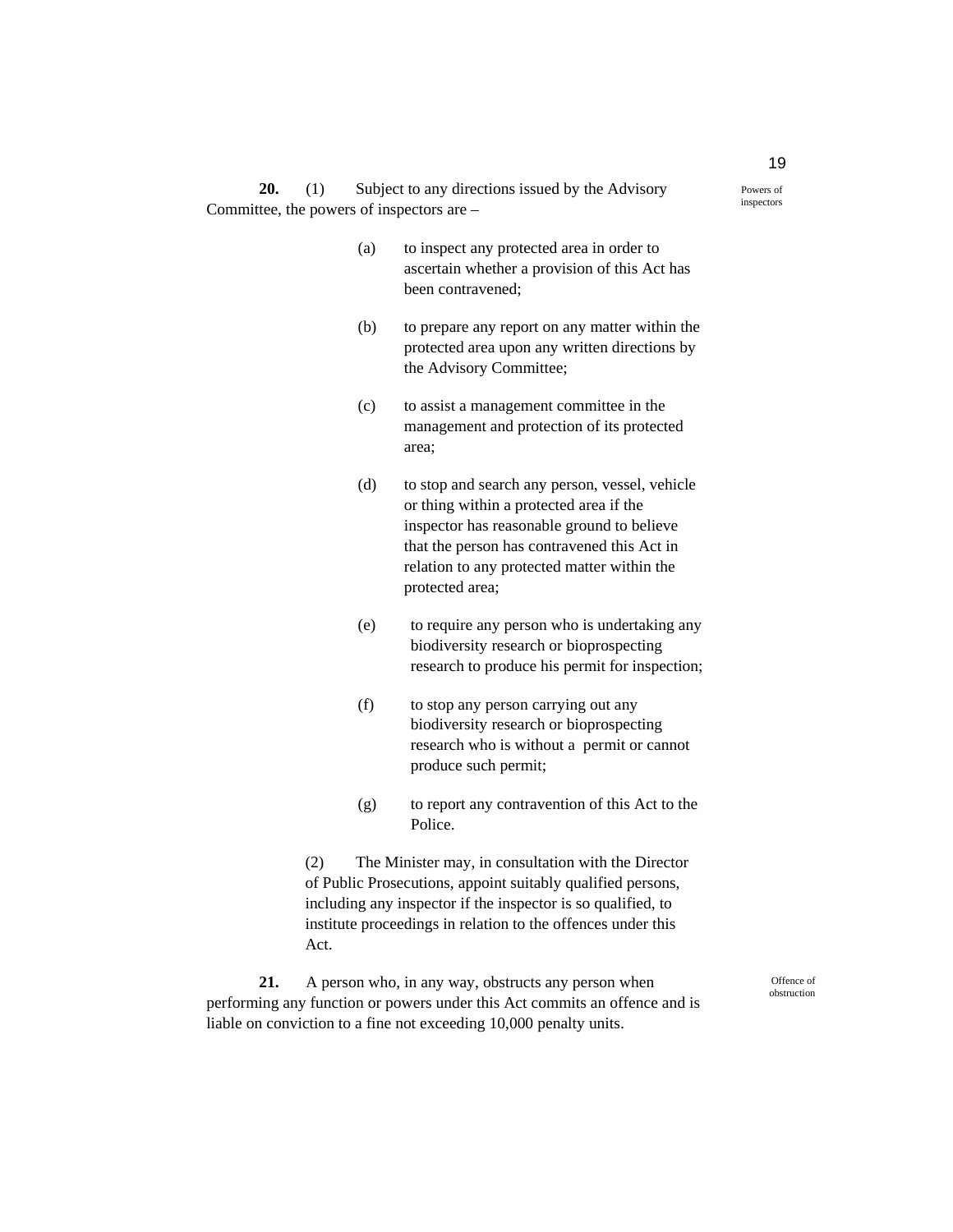**20.** (1) Subject to any directions issued by the Advisory Committee, the powers of inspectors are –

- (a) to inspect any protected area in order to ascertain whether a provision of this Act has been contravened;
- (b) to prepare any report on any matter within the protected area upon any written directions by the Advisory Committee;
- (c) to assist a management committee in the management and protection of its protected area;
- (d) to stop and search any person, vessel, vehicle or thing within a protected area if the inspector has reasonable ground to believe that the person has contravened this Act in relation to any protected matter within the protected area;
- (e) to require any person who is undertaking any biodiversity research or bioprospecting research to produce his permit for inspection;
- (f) to stop any person carrying out any biodiversity research or bioprospecting research who is without a permit or cannot produce such permit;
- (g) to report any contravention of this Act to the Police.

(2) The Minister may, in consultation with the Director of Public Prosecutions, appoint suitably qualified persons, including any inspector if the inspector is so qualified, to institute proceedings in relation to the offences under this Act.

**21.** A person who, in any way, obstructs any person when performing any function or powers under this Act commits an offence and is liable on conviction to a fine not exceeding 10,000 penalty units.

Offence of obstruction

Powers of inspectors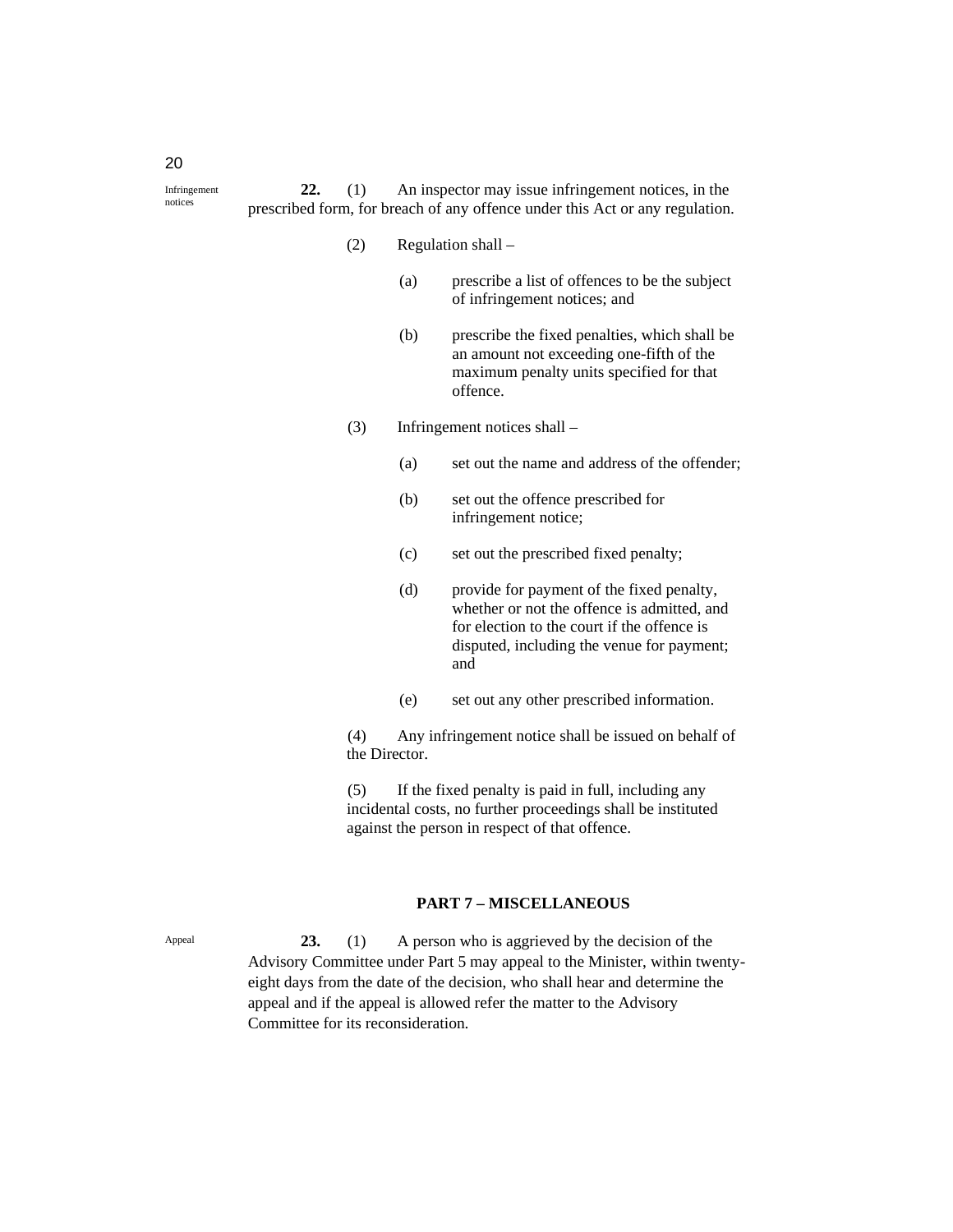**22.** (1) An inspector may issue infringement notices, in the prescribed form, for breach of any offence under this Act or any regulation.

- (2) Regulation shall
	- (a) prescribe a list of offences to be the subject of infringement notices; and
	- (b) prescribe the fixed penalties, which shall be an amount not exceeding one-fifth of the maximum penalty units specified for that offence.
- (3) Infringement notices shall
	- (a) set out the name and address of the offender;
	- (b) set out the offence prescribed for infringement notice;
	- (c) set out the prescribed fixed penalty;
	- (d) provide for payment of the fixed penalty, whether or not the offence is admitted, and for election to the court if the offence is disputed, including the venue for payment; and
	- (e) set out any other prescribed information.

(4) Any infringement notice shall be issued on behalf of the Director.

(5) If the fixed penalty is paid in full, including any incidental costs, no further proceedings shall be instituted against the person in respect of that offence.

#### **PART 7 – MISCELLANEOUS**

**23.** (1) A person who is aggrieved by the decision of the Advisory Committee under Part 5 may appeal to the Minister, within twentyeight days from the date of the decision, who shall hear and determine the appeal and if the appeal is allowed refer the matter to the Advisory Committee for its reconsideration.

Appeal

20

Infringement notices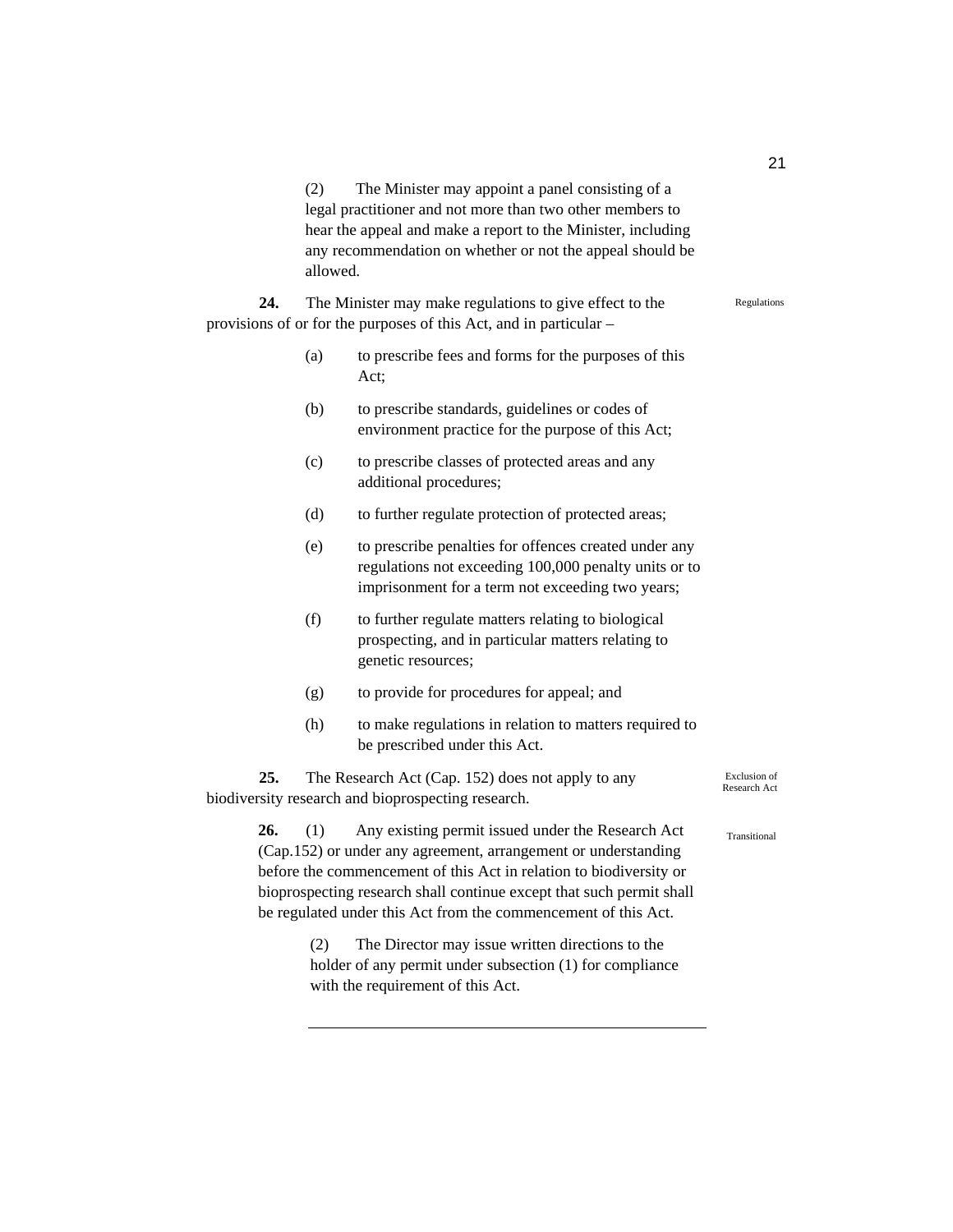(2) The Minister may appoint a panel consisting of a legal practitioner and not more than two other members to hear the appeal and make a report to the Minister, including any recommendation on whether or not the appeal should be allowed.

**24.** The Minister may make regulations to give effect to the provisions of or for the purposes of this Act, and in particular –

- (a) to prescribe fees and forms for the purposes of this Act;
- (b) to prescribe standards, guidelines or codes of environment practice for the purpose of this Act;
- (c) to prescribe classes of protected areas and any additional procedures;
- (d) to further regulate protection of protected areas;
- (e) to prescribe penalties for offences created under any regulations not exceeding 100,000 penalty units or to imprisonment for a term not exceeding two years;
- (f) to further regulate matters relating to biological prospecting, and in particular matters relating to genetic resources;
- (g) to provide for procedures for appeal; and
- (h) to make regulations in relation to matters required to be prescribed under this Act.

**25.** The Research Act (Cap. 152) does not apply to any biodiversity research and bioprospecting research.

> **26.** (1) Any existing permit issued under the Research Act (Cap.152) or under any agreement, arrangement or understanding before the commencement of this Act in relation to biodiversity or bioprospecting research shall continue except that such permit shall be regulated under this Act from the commencement of this Act.

> > (2) The Director may issue written directions to the holder of any permit under subsection (1) for compliance with the requirement of this Act.

Exclusion of Research Act

Transitional

21

Regulations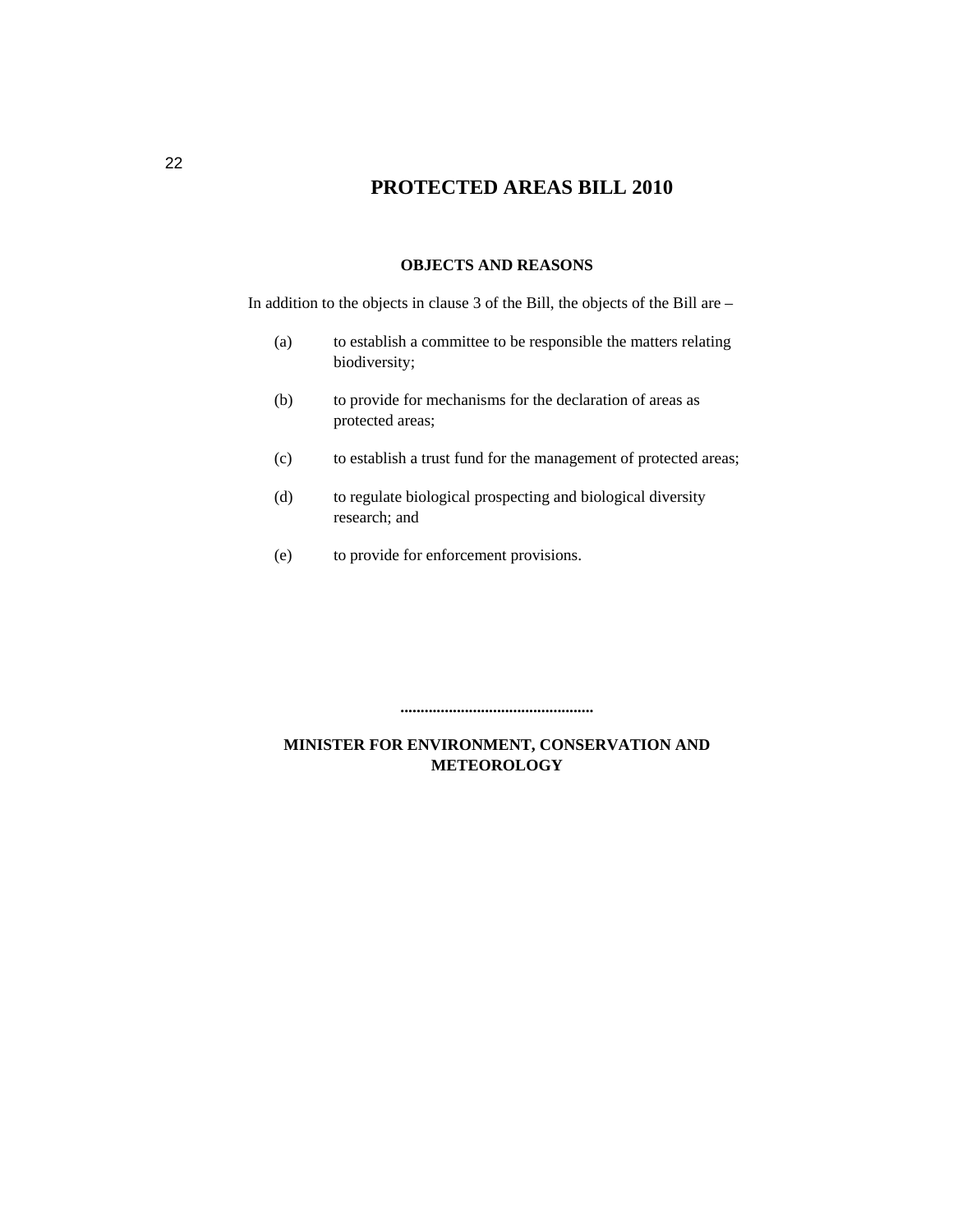## **PROTECTED AREAS BILL 2010**

#### **OBJECTS AND REASONS**

In addition to the objects in clause 3 of the Bill, the objects of the Bill are –

- (a) to establish a committee to be responsible the matters relating biodiversity;
- (b) to provide for mechanisms for the declaration of areas as protected areas;
- (c) to establish a trust fund for the management of protected areas;
- (d) to regulate biological prospecting and biological diversity research; and
- (e) to provide for enforcement provisions.

**................................................** 

### **MINISTER FOR ENVIRONMENT, CONSERVATION AND METEOROLOGY**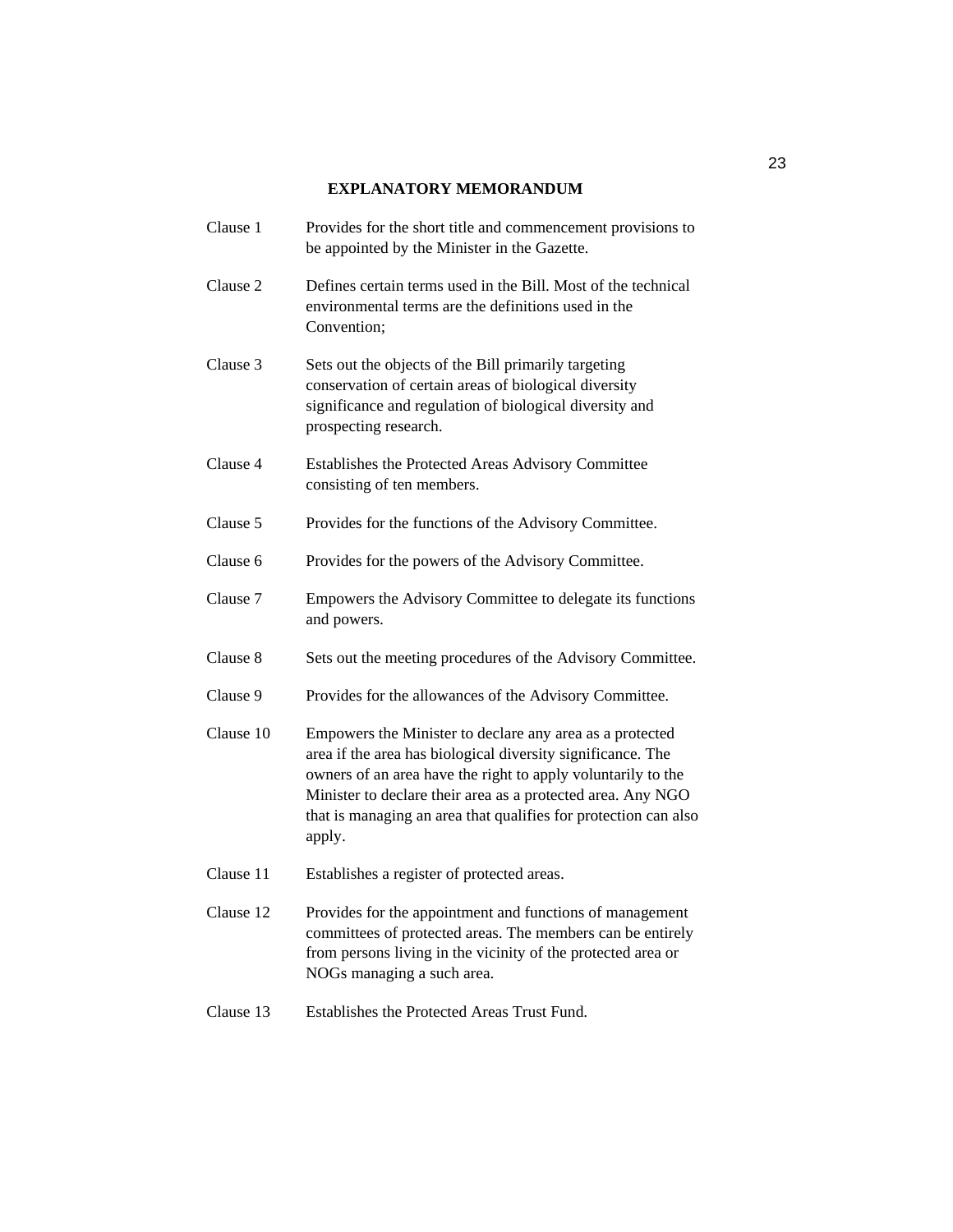#### **EXPLANATORY MEMORANDUM**

- Clause 1 Provides for the short title and commencement provisions to be appointed by the Minister in the Gazette. Clause 2 Defines certain terms used in the Bill. Most of the technical environmental terms are the definitions used in the Convention; Clause 3 Sets out the objects of the Bill primarily targeting conservation of certain areas of biological diversity significance and regulation of biological diversity and prospecting research. Clause 4 Establishes the Protected Areas Advisory Committee consisting of ten members. Clause 5 Provides for the functions of the Advisory Committee. Clause 6 Provides for the powers of the Advisory Committee. Clause 7 Empowers the Advisory Committee to delegate its functions and powers. Clause 8 Sets out the meeting procedures of the Advisory Committee. Clause 9 Provides for the allowances of the Advisory Committee. Clause 10 Empowers the Minister to declare any area as a protected area if the area has biological diversity significance. The owners of an area have the right to apply voluntarily to the Minister to declare their area as a protected area. Any NGO that is managing an area that qualifies for protection can also apply. Clause 11 Establishes a register of protected areas. Clause 12 Provides for the appointment and functions of management committees of protected areas. The members can be entirely from persons living in the vicinity of the protected area or NOGs managing a such area.
- Clause 13 Establishes the Protected Areas Trust Fund.